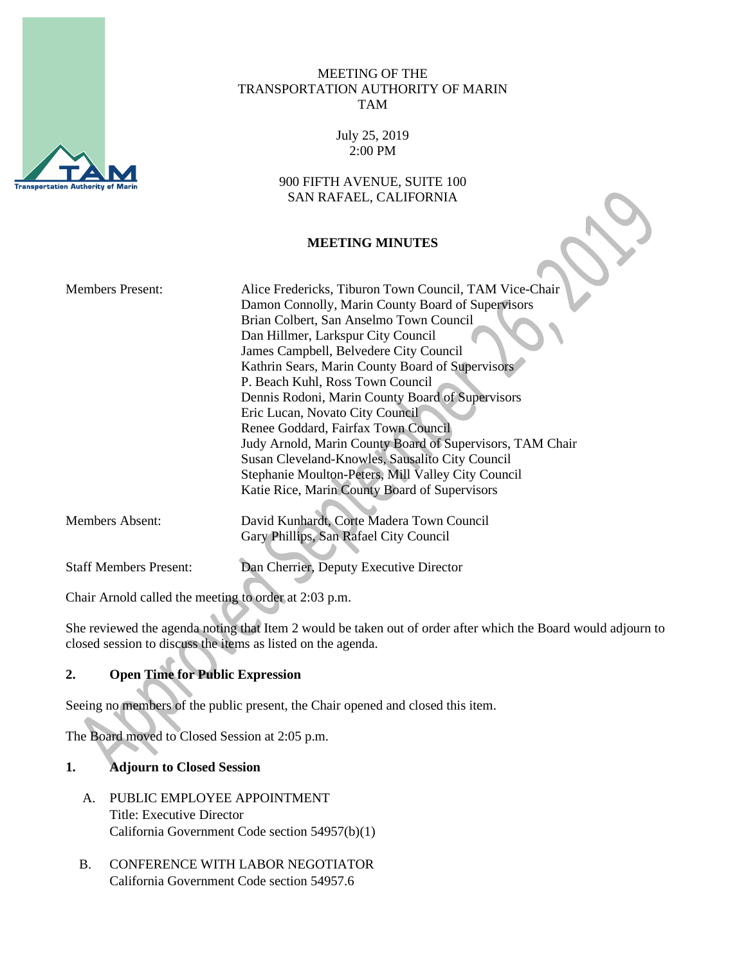

## MEETING OF THE TRANSPORTATION AUTHORITY OF MARIN TAM

July 25, 2019 2:00 PM

900 FIFTH AVENUE, SUITE 100 SAN RAFAEL, CALIFORNIA

## **MEETING MINUTES**

| <b>Members Present:</b>       | Alice Fredericks, Tiburon Town Council, TAM Vice-Chair    |
|-------------------------------|-----------------------------------------------------------|
|                               | Damon Connolly, Marin County Board of Supervisors         |
|                               | Brian Colbert, San Anselmo Town Council                   |
|                               | Dan Hillmer, Larkspur City Council                        |
|                               | James Campbell, Belvedere City Council                    |
|                               | Kathrin Sears, Marin County Board of Supervisors          |
|                               | P. Beach Kuhl, Ross Town Council                          |
|                               | Dennis Rodoni, Marin County Board of Supervisors          |
|                               | Eric Lucan, Novato City Council                           |
|                               | Renee Goddard, Fairfax Town Council                       |
|                               | Judy Arnold, Marin County Board of Supervisors, TAM Chair |
|                               | Susan Cleveland-Knowles, Sausalito City Council           |
|                               | Stephanie Moulton-Peters, Mill Valley City Council        |
|                               | Katie Rice, Marin County Board of Supervisors             |
|                               |                                                           |
| Members Absent:               | David Kunhardt, Corte Madera Town Council                 |
|                               | Gary Phillips, San Rafael City Council                    |
| <b>Staff Members Present:</b> | Dan Cherrier, Deputy Executive Director                   |
|                               |                                                           |

Chair Arnold called the meeting to order at 2:03 p.m.

She reviewed the agenda noting that Item 2 would be taken out of order after which the Board would adjourn to closed session to discuss the items as listed on the agenda.

## **2. Open Time for Public Expression**

Seeing no members of the public present, the Chair opened and closed this item.

The Board moved to Closed Session at 2:05 p.m.

## **1. Adjourn to Closed Session**

- A. PUBLIC EMPLOYEE APPOINTMENT Title: Executive Director California Government Code section 54957(b)(1)
- B. CONFERENCE WITH LABOR NEGOTIATOR California Government Code section 54957.6